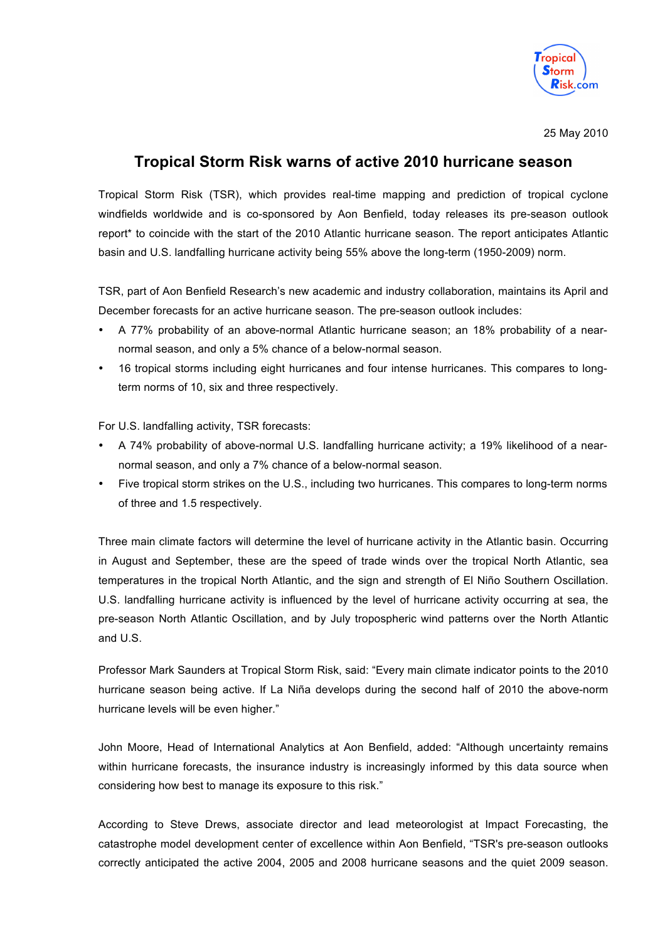

25 May 2010

# **Tropical Storm Risk warns of active 2010 hurricane season**

Tropical Storm Risk (TSR), which provides real-time mapping and prediction of tropical cyclone windfields worldwide and is co-sponsored by Aon Benfield, today releases its pre-season outlook report\* to coincide with the start of the 2010 Atlantic hurricane season. The report anticipates Atlantic basin and U.S. landfalling hurricane activity being 55% above the long-term (1950-2009) norm.

TSR, part of Aon Benfield Research's new academic and industry collaboration, maintains its April and December forecasts for an active hurricane season. The pre-season outlook includes:

- A 77% probability of an above-normal Atlantic hurricane season; an 18% probability of a nearnormal season, and only a 5% chance of a below-normal season.
- 16 tropical storms including eight hurricanes and four intense hurricanes. This compares to longterm norms of 10, six and three respectively.

For U.S. landfalling activity, TSR forecasts:

- A 74% probability of above-normal U.S. landfalling hurricane activity; a 19% likelihood of a nearnormal season, and only a 7% chance of a below-normal season.
- Five tropical storm strikes on the U.S., including two hurricanes. This compares to long-term norms of three and 1.5 respectively.

Three main climate factors will determine the level of hurricane activity in the Atlantic basin. Occurring in August and September, these are the speed of trade winds over the tropical North Atlantic, sea temperatures in the tropical North Atlantic, and the sign and strength of El Niño Southern Oscillation. U.S. landfalling hurricane activity is influenced by the level of hurricane activity occurring at sea, the pre-season North Atlantic Oscillation, and by July tropospheric wind patterns over the North Atlantic and U.S.

Professor Mark Saunders at Tropical Storm Risk, said: "Every main climate indicator points to the 2010 hurricane season being active. If La Niña develops during the second half of 2010 the above-norm hurricane levels will be even higher."

John Moore, Head of International Analytics at Aon Benfield, added: "Although uncertainty remains within hurricane forecasts, the insurance industry is increasingly informed by this data source when considering how best to manage its exposure to this risk."

According to Steve Drews, associate director and lead meteorologist at Impact Forecasting, the catastrophe model development center of excellence within Aon Benfield, "TSR's pre-season outlooks correctly anticipated the active 2004, 2005 and 2008 hurricane seasons and the quiet 2009 season.